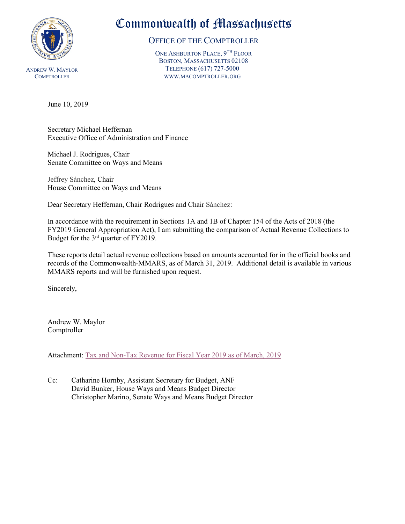

ANDREW W. MAYLOR **COMPTROLLER** 

# Commonwealth of Massachusetts

# OFFICE OF THE COMPTROLLER

ONE ASHBURTON PLACE, 9TH FLOOR BOSTON, MASSACHUSETTS 02108 TELEPHONE (617) 727-5000 WWW.MACOMPTROLLER.ORG

# June 10, 2019

Secretary Michael Heffernan Executive Office of Administration and Finance

Michael J. Rodrigues, Chair Senate Committee on Ways and Means

Jeffrey Sánchez, Chair House Committee on Ways and Means

Dear Secretary Heffernan, Chair Rodrigues and Chair Sánchez:

In accordance with the requirement in Sections 1A and 1B of Chapter 154 of the Acts of 2018 (the FY2019 General Appropriation Act), I am submitting the comparison of Actual Revenue Collections to Budget for the 3rd quarter of FY2019.

These reports detail actual revenue collections based on amounts accounted for in the official books and records of the Commonwealth-MMARS, as of March 31, 2019. Additional detail is available in various MMARS reports and will be furnished upon request.

Sincerely,

Andrew W. Maylor Comptroller

Attachment: [Tax and Non-Tax Revenue for Fiscal Year 2019 as of March, 2019](#page-1-0) 

Cc: Catharine Hornby, Assistant Secretary for Budget, ANF David Bunker, House Ways and Means Budget Director Christopher Marino, Senate Ways and Means Budget Director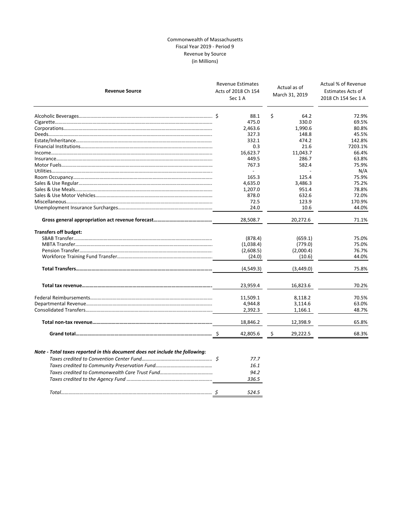## Commonwealth of Massachusetts Fiscal Year 2019 ‐ Period 9 Revenue by Source (in Millions)

<span id="page-1-0"></span>

| <b>Revenue Source</b>        | <b>Revenue Estimates</b><br>Acts of 2018 Ch 154<br>Sec 1A |    | Actual as of<br>March 31, 2019 | Actual % of Revenue<br><b>Estimates Acts of</b><br>2018 Ch 154 Sec 1 A |
|------------------------------|-----------------------------------------------------------|----|--------------------------------|------------------------------------------------------------------------|
|                              | 88.1                                                      | \$ | 64.2                           | 72.9%                                                                  |
|                              | 475.0                                                     |    | 330.0                          | 69.5%                                                                  |
|                              | 2,463.6                                                   |    | 1,990.6                        | 80.8%                                                                  |
|                              | 327.3                                                     |    | 148.8                          | 45.5%                                                                  |
|                              | 332.1                                                     |    | 474.2                          | 142.8%                                                                 |
|                              | 0.3                                                       |    | 21.6                           | 7203.1%                                                                |
|                              | 16,623.7                                                  |    | 11,043.7                       | 66.4%                                                                  |
|                              | 449.5                                                     |    | 286.7                          | 63.8%                                                                  |
|                              | 767.3                                                     |    | 582.4                          | 75.9%                                                                  |
|                              | $\overline{\phantom{a}}$                                  |    |                                | N/A                                                                    |
|                              | 165.3                                                     |    | 125.4                          | 75.9%                                                                  |
|                              | 4,635.0                                                   |    | 3,486.3                        | 75.2%                                                                  |
|                              | 1,207.0                                                   |    | 951.4                          | 78.8%                                                                  |
|                              | 878.0                                                     |    | 632.6                          | 72.0%                                                                  |
|                              | 72.5                                                      |    | 123.9                          | 170.9%                                                                 |
|                              | 24.0                                                      |    | 10.6                           | 44.0%                                                                  |
|                              | 28,508.7                                                  |    | 20,272.6                       | 71.1%                                                                  |
| <b>Transfers off budget:</b> |                                                           |    |                                |                                                                        |
|                              | (878.4)                                                   |    | (659.1)                        | 75.0%                                                                  |
|                              | (1,038.4)                                                 |    | (779.0)                        | 75.0%                                                                  |
|                              | (2,608.5)                                                 |    | (2,000.4)                      | 76.7%                                                                  |
|                              | (24.0)                                                    |    | (10.6)                         | 44.0%                                                                  |
|                              | (4,549.3)                                                 |    | (3,449.0)                      | 75.8%                                                                  |
|                              | 23,959.4                                                  |    | 16,823.6                       | 70.2%                                                                  |
|                              | 11,509.1                                                  |    | 8,118.2                        | 70.5%                                                                  |
|                              | 4,944.8                                                   |    | 3,114.6                        | 63.0%                                                                  |
|                              | 2,392.3                                                   |    | 1,166.1                        | 48.7%                                                                  |
|                              | 18,846.2                                                  |    | 12,398.9                       | 65.8%                                                                  |
|                              | 42,805.6                                                  | S  | 29,222.5                       | 68.3%                                                                  |

|  | 77 7  |
|--|-------|
|  | 16.1  |
|  | 94.2  |
|  | 336.5 |
|  |       |
|  | 524.5 |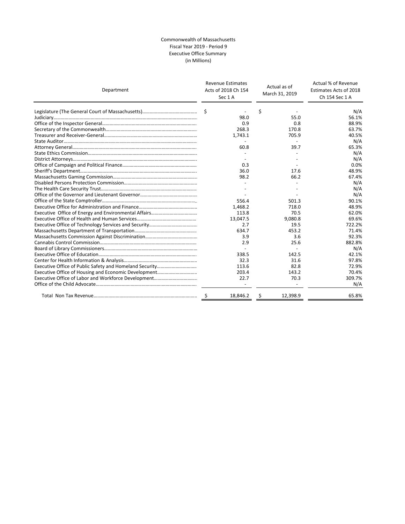## Commonwealth of Massachusetts Fiscal Year 2019 ‐ Period 9 Executive Office Summary (in Millions)

| Department | <b>Revenue Estimates</b><br>Acts of 2018 Ch 154<br>Sec 1A | Actual as of<br>March 31, 2019 | Actual % of Revenue<br>Estimates Acts of 2018<br>Ch 154 Sec 1 A |  |
|------------|-----------------------------------------------------------|--------------------------------|-----------------------------------------------------------------|--|
|            | Ŝ.                                                        | \$                             | N/A                                                             |  |
|            | 98.0                                                      | 55.0                           | 56.1%                                                           |  |
|            | 0.9                                                       | 0.8                            | 88.9%                                                           |  |
|            | 268.3                                                     | 170.8                          | 63.7%                                                           |  |
|            | 1,743.1                                                   | 705.9                          | 40.5%                                                           |  |
|            |                                                           |                                | N/A                                                             |  |
|            | 60.8                                                      | 39.7                           | 65.3%                                                           |  |
|            |                                                           |                                | N/A                                                             |  |
|            |                                                           |                                | N/A                                                             |  |
|            | 0.3                                                       |                                | 0.0%                                                            |  |
|            | 36.0                                                      | 17.6                           | 48.9%                                                           |  |
|            | 98.2                                                      | 66.2                           | 67.4%                                                           |  |
|            |                                                           |                                | N/A                                                             |  |
|            |                                                           |                                | N/A                                                             |  |
|            |                                                           |                                | N/A                                                             |  |
|            | 556.4                                                     | 501.3                          | 90.1%                                                           |  |
|            | 1,468.2                                                   | 718.0                          | 48.9%                                                           |  |
|            | 113.8                                                     | 70.5                           | 62.0%                                                           |  |
|            | 13,047.5                                                  | 9,080.8                        | 69.6%                                                           |  |
|            | 2.7                                                       | 19.5                           | 722.2%                                                          |  |
|            | 634.7                                                     | 453.2                          | 71.4%                                                           |  |
|            | 3.9                                                       | 3.6                            | 92.3%                                                           |  |
|            | 2.9                                                       | 25.6                           | 882.8%                                                          |  |
|            |                                                           |                                | N/A                                                             |  |
|            | 338.5                                                     | 142.5                          | 42.1%                                                           |  |
|            | 32.3                                                      | 31.6                           | 97.8%                                                           |  |
|            | 113.6                                                     | 82.8                           | 72.9%                                                           |  |
|            | 203.4                                                     | 143.2                          | 70.4%                                                           |  |
|            | 22.7                                                      | 70.3                           | 309.7%                                                          |  |
|            |                                                           |                                | N/A                                                             |  |
|            | 18,846.2<br>S                                             | 12,398.9<br>Ŝ                  | 65.8%                                                           |  |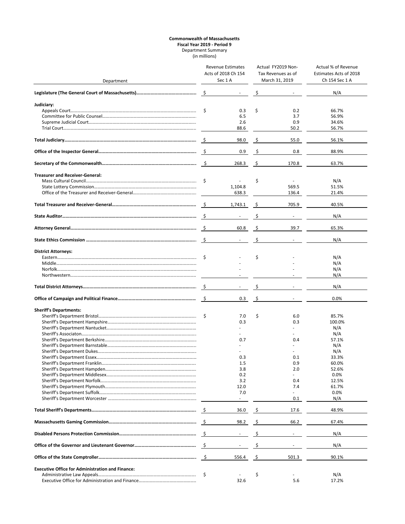### **Commonwealth of Massachusetts Fiscal Year 2019 ‐ Period 9** Department Summary (in millions)

|                                                         | Revenue Estimates |                               | Actual FY2019 Non-<br>Tax Revenues as of |                | Actual % of Revenue<br>Estimates Acts of 2018 |  |
|---------------------------------------------------------|-------------------|-------------------------------|------------------------------------------|----------------|-----------------------------------------------|--|
| Department                                              |                   | Acts of 2018 Ch 154<br>Sec 1A |                                          | March 31, 2019 | Ch 154 Sec 1 A                                |  |
|                                                         |                   |                               |                                          |                |                                               |  |
|                                                         | - \$              |                               |                                          |                | N/A                                           |  |
| Judiciary:                                              |                   |                               |                                          |                |                                               |  |
|                                                         | \$                | 0.3                           | \$                                       | 0.2            | 66.7%                                         |  |
|                                                         |                   | 6.5                           |                                          | 3.7            | 56.9%                                         |  |
|                                                         |                   | 2.6                           |                                          | 0.9            | 34.6%                                         |  |
|                                                         |                   | 88.6                          |                                          | 50.2           | 56.7%                                         |  |
|                                                         |                   | 98.0                          | -\$                                      | 55.0           | 56.1%                                         |  |
|                                                         |                   | 0.9                           | -\$                                      | 0.8            | 88.9%                                         |  |
|                                                         | $\mathsf{S}$      | 268.3                         | \$                                       | 170.8          | 63.7%                                         |  |
| <b>Treasurer and Receiver-General:</b>                  |                   |                               |                                          |                |                                               |  |
|                                                         | -\$               |                               | \$                                       |                | N/A                                           |  |
|                                                         |                   | 1,104.8                       |                                          | 569.5          | 51.5%                                         |  |
|                                                         |                   | 638.3                         |                                          | 136.4          | 21.4%                                         |  |
|                                                         |                   |                               |                                          |                |                                               |  |
|                                                         |                   | 1,743.1                       |                                          | 705.9          | 40.5%                                         |  |
|                                                         |                   |                               | \$                                       |                | N/A                                           |  |
|                                                         | - \$              | 60.8                          | -\$                                      | 39.7           | 65.3%                                         |  |
|                                                         | - \$              | $\sim$                        | \$                                       |                | N/A                                           |  |
| <b>District Attorneys:</b>                              |                   |                               |                                          |                |                                               |  |
|                                                         | \$                |                               | \$                                       |                | N/A                                           |  |
|                                                         |                   |                               |                                          |                | N/A                                           |  |
|                                                         |                   |                               |                                          |                | N/A                                           |  |
|                                                         |                   |                               |                                          |                | N/A                                           |  |
|                                                         |                   | $\Delta \sim 10^{-1}$         | Ŝ.                                       |                | N/A                                           |  |
|                                                         |                   | 0.3                           | \$                                       |                | 0.0%                                          |  |
| <b>Sheriff's Departments:</b>                           |                   |                               |                                          |                |                                               |  |
|                                                         | \$                | 7.0                           | \$                                       | 6.0            | 85.7%                                         |  |
|                                                         |                   | 0.3                           |                                          | 0.3            | 100.0%                                        |  |
|                                                         |                   |                               |                                          |                | N/A                                           |  |
|                                                         |                   |                               |                                          |                | N/A                                           |  |
|                                                         |                   | 0.7                           |                                          | 0.4            | 57.1%                                         |  |
|                                                         |                   |                               |                                          |                | N/A                                           |  |
|                                                         |                   |                               |                                          |                | N/A                                           |  |
|                                                         |                   | 0.3                           |                                          | 0.1            | 33.3%                                         |  |
|                                                         |                   | 1.5                           |                                          | U.Y            | 60.0%                                         |  |
|                                                         |                   | 3.8                           |                                          | 2.0            | 52.6%                                         |  |
|                                                         |                   | 0.2                           |                                          |                | 0.0%                                          |  |
|                                                         |                   | 3.2                           |                                          | 0.4            | 12.5%                                         |  |
|                                                         |                   | 12.0                          |                                          | 7.4            | 61.7%                                         |  |
|                                                         |                   | 7.0                           |                                          |                | 0.0%                                          |  |
|                                                         |                   |                               |                                          | 0.1            | N/A                                           |  |
|                                                         |                   | 36.0                          | -\$                                      | 17.6           | 48.9%                                         |  |
|                                                         |                   | 98.2                          | \$                                       | 66.2           | 67.4%                                         |  |
|                                                         |                   | $\sim$                        | \$                                       | $\sim$         | N/A                                           |  |
|                                                         |                   | $\overline{\phantom{a}}$      | \$                                       |                | N/A                                           |  |
|                                                         |                   | 556.4                         | \$                                       | 501.3          | 90.1%                                         |  |
| <b>Executive Office for Administration and Finance:</b> |                   |                               |                                          |                |                                               |  |
|                                                         | \$                |                               | \$                                       |                | N/A                                           |  |
|                                                         |                   | 32.6                          |                                          | 5.6            | 17.2%                                         |  |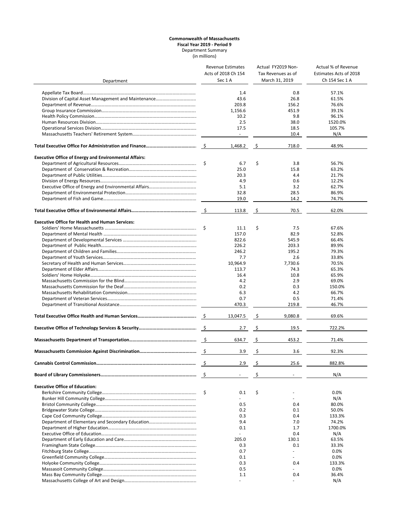### **Commonwealth of Massachusetts Fiscal Year 2019 ‐ Period 9** Department Summary (in millions)

|                                                              |                     | <b>Revenue Estimates</b> |                     | Actual FY2019 Non-       | Actual % of Revenue    |  |
|--------------------------------------------------------------|---------------------|--------------------------|---------------------|--------------------------|------------------------|--|
|                                                              | Acts of 2018 Ch 154 |                          | Tax Revenues as of  |                          | Estimates Acts of 2018 |  |
| Department                                                   |                     | Sec 1A                   |                     | March 31, 2019           | Ch 154 Sec 1 A         |  |
|                                                              |                     |                          |                     |                          |                        |  |
|                                                              |                     | 1.4                      |                     | 0.8                      | 57.1%                  |  |
|                                                              |                     | 43.6                     |                     | 26.8                     | 61.5%                  |  |
|                                                              |                     | 203.8                    |                     | 156.2                    | 76.6%                  |  |
|                                                              |                     | 1,156.6                  |                     | 451.9                    | 39.1%                  |  |
|                                                              |                     | 10.2                     |                     | 9.8                      | 96.1%                  |  |
|                                                              |                     | 2.5                      |                     | 38.0                     | 1520.0%                |  |
|                                                              |                     | 17.5                     |                     | 18.5                     | 105.7%                 |  |
|                                                              |                     | $\sim$                   |                     | 10.4                     | N/A                    |  |
|                                                              |                     |                          |                     |                          |                        |  |
|                                                              |                     | 1,468.2                  | \$                  | 718.0                    | 48.9%                  |  |
| <b>Executive Office of Energy and Environmental Affairs:</b> |                     |                          |                     |                          |                        |  |
|                                                              | \$                  | 6.7                      | \$                  | 3.8                      | 56.7%                  |  |
|                                                              |                     | 25.0                     |                     | 15.8                     | 63.2%                  |  |
|                                                              |                     | 20.3                     |                     | 4.4                      | 21.7%                  |  |
|                                                              |                     | 4.9                      |                     | 0.6                      | 12.2%                  |  |
|                                                              |                     | 5.1                      |                     | 3.2                      | 62.7%                  |  |
|                                                              |                     |                          |                     |                          |                        |  |
|                                                              |                     | 32.8                     |                     | 28.5                     | 86.9%                  |  |
|                                                              |                     | 19.0                     |                     | 14.2                     | 74.7%                  |  |
|                                                              |                     | 113.8                    | -\$                 | 70.5                     | 62.0%                  |  |
|                                                              |                     |                          |                     |                          |                        |  |
| <b>Executive Office for Health and Human Services:</b>       |                     |                          |                     |                          |                        |  |
|                                                              | \$                  | 11.1                     | \$                  | 7.5                      | 67.6%                  |  |
|                                                              |                     | 157.0                    |                     | 82.9                     | 52.8%                  |  |
|                                                              |                     | 822.6                    |                     | 545.9                    | 66.4%                  |  |
|                                                              |                     | 226.2                    |                     | 203.3                    | 89.9%                  |  |
|                                                              |                     | 246.2                    |                     | 195.2                    | 79.3%                  |  |
|                                                              |                     | 7.7                      |                     | 2.6                      | 33.8%                  |  |
|                                                              |                     | 10,964.9                 |                     | 7,730.6                  | 70.5%                  |  |
|                                                              |                     | 113.7                    |                     | 74.3                     | 65.3%                  |  |
|                                                              |                     | 16.4                     |                     | 10.8                     | 65.9%                  |  |
|                                                              |                     | 4.2                      |                     | 2.9                      | 69.0%                  |  |
|                                                              |                     | 0.2                      |                     | 0.3                      |                        |  |
|                                                              |                     |                          |                     |                          | 150.0%                 |  |
|                                                              |                     | 6.3                      |                     | 4.2                      | 66.7%                  |  |
|                                                              |                     | 0.7                      |                     | 0.5                      | 71.4%                  |  |
|                                                              |                     | 470.3                    |                     | 219.8                    | 46.7%                  |  |
|                                                              |                     | 13,047.5                 | - \$                | 9,080.8                  | 69.6%                  |  |
|                                                              |                     | 2.7                      | $\ddot{\mathsf{s}}$ | 19.5                     | 722.2%                 |  |
|                                                              |                     | 634.7                    | - \$                | 453.2                    | 71.4%                  |  |
|                                                              |                     | 3.9                      | - \$                | 3.6                      | 92.3%                  |  |
|                                                              | \$                  | 2.9                      | \$                  | 25.6                     | 882.8%                 |  |
|                                                              | -\$                 |                          | \$                  | $\overline{\phantom{a}}$ | N/A                    |  |
| <b>Executive Office of Education:</b>                        |                     |                          |                     |                          |                        |  |
|                                                              | \$                  | 0.1                      | \$                  |                          | 0.0%                   |  |
|                                                              |                     |                          |                     |                          |                        |  |
|                                                              |                     |                          |                     |                          | N/A                    |  |
|                                                              |                     | 0.5                      |                     | 0.4                      | 80.0%                  |  |
|                                                              |                     | 0.2                      |                     | 0.1                      | 50.0%                  |  |
|                                                              |                     | 0.3                      |                     | 0.4                      | 133.3%                 |  |
|                                                              |                     | 9.4                      |                     | 7.0                      | 74.2%                  |  |
|                                                              |                     | 0.1                      |                     | 1.7                      | 1700.0%                |  |
|                                                              |                     |                          |                     | 0.4                      | N/A                    |  |
|                                                              |                     | 205.0                    |                     | 130.1                    | 63.5%                  |  |
|                                                              |                     | 0.3                      |                     | 0.1                      | 33.3%                  |  |
|                                                              |                     | 0.7                      |                     | $\sim$                   | 0.0%                   |  |
|                                                              |                     | 0.1                      |                     |                          | 0.0%                   |  |
|                                                              |                     | 0.3                      |                     | 0.4                      | 133.3%                 |  |
|                                                              |                     | 0.5                      |                     |                          | 0.0%                   |  |
|                                                              |                     | 1.1                      |                     | 0.4                      | 36.4%                  |  |
|                                                              |                     |                          |                     |                          |                        |  |
|                                                              |                     |                          |                     |                          | N/A                    |  |